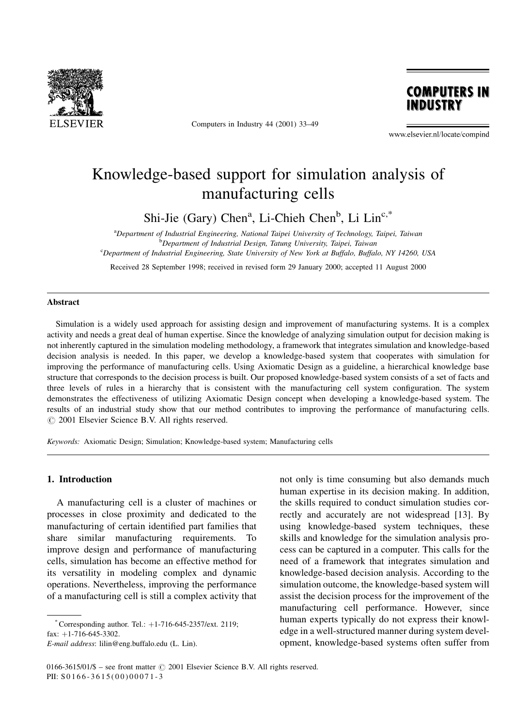

Computers in Industry 44 (2001) 33-49



www.elsevier.nl/locate/compind

## Knowledge-based support for simulation analysis of manufacturing cells

Shi-Jie (Gary) Chen<sup>a</sup>, Li-Chieh Chen<sup>b</sup>, Li Lin<sup>c,\*</sup>

<sup>a</sup>Department of Industrial Engineering, National Taipei University of Technology, Taipei, Taiwan **b** Department of Industrial Design, Tatung University, Taipei, Taiwan <sup>c</sup>Department of Industrial Engineering, State University of New York at Buffalo, Buffalo, NY 14260, USA

Received 28 September 1998; received in revised form 29 January 2000; accepted 11 August 2000

#### Abstract

Simulation is a widely used approach for assisting design and improvement of manufacturing systems. It is a complex activity and needs a great deal of human expertise. Since the knowledge of analyzing simulation output for decision making is not inherently captured in the simulation modeling methodology, a framework that integrates simulation and knowledge-based decision analysis is needed. In this paper, we develop a knowledge-based system that cooperates with simulation for improving the performance of manufacturing cells. Using Axiomatic Design as a guideline, a hierarchical knowledge base structure that corresponds to the decision process is built. Our proposed knowledge-based system consists of a set of facts and three levels of rules in a hierarchy that is consistent with the manufacturing cell system configuration. The system demonstrates the effectiveness of utilizing Axiomatic Design concept when developing a knowledge-based system. The results of an industrial study show that our method contributes to improving the performance of manufacturing cells.  $\odot$  2001 Elsevier Science B.V. All rights reserved.

Keywords: Axiomatic Design; Simulation; Knowledge-based system; Manufacturing cells

#### 1. Introduction

A manufacturing cell is a cluster of machines or processes in close proximity and dedicated to the manufacturing of certain identified part families that share similar manufacturing requirements. To improve design and performance of manufacturing cells, simulation has become an effective method for its versatility in modeling complex and dynamic operations. Nevertheless, improving the performance of a manufacturing cell is still a complex activity that

not only is time consuming but also demands much human expertise in its decision making. In addition, the skills required to conduct simulation studies correctly and accurately are not widespread [13]. By using knowledge-based system techniques, these skills and knowledge for the simulation analysis process can be captured in a computer. This calls for the need of a framework that integrates simulation and knowledge-based decision analysis. According to the simulation outcome, the knowledge-based system will assist the decision process for the improvement of the manufacturing cell performance. However, since human experts typically do not express their knowledge in a well-structured manner during system development, knowledge-based systems often suffer from

<sup>\*</sup> Corresponding author. Tel.:  $+1-716-645-2357/\text{ext}$ . 2119; fax:  $+1-716-645-3302$ .

E-mail address: lilin@eng.buffalo.edu (L. Lin).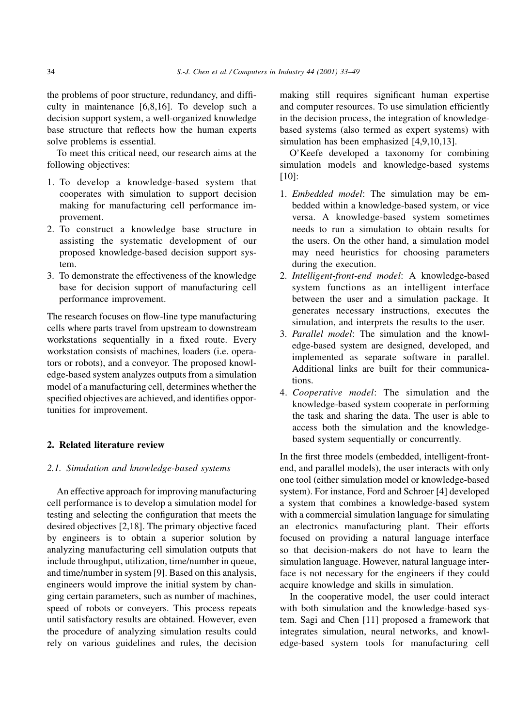the problems of poor structure, redundancy, and difficulty in maintenance [6,8,16]. To develop such a decision support system, a well-organized knowledge base structure that reflects how the human experts solve problems is essential.

To meet this critical need, our research aims at the following objectives:

- 1. To develop a knowledge-based system that cooperates with simulation to support decision making for manufacturing cell performance improvement.
- 2. To construct a knowledge base structure in assisting the systematic development of our proposed knowledge-based decision support system.
- 3. To demonstrate the effectiveness of the knowledge base for decision support of manufacturing cell performance improvement.

The research focuses on flow-line type manufacturing cells where parts travel from upstream to downstream workstations sequentially in a fixed route. Every workstation consists of machines, loaders (i.e. operators or robots), and a conveyor. The proposed knowledge-based system analyzes outputs from a simulation model of a manufacturing cell, determines whether the specified objectives are achieved, and identifies opportunities for improvement.

### 2. Related literature review

### 2.1. Simulation and knowledge-based systems

An effective approach for improving manufacturing cell performance is to develop a simulation model for testing and selecting the configuration that meets the desired objectives [2,18]. The primary objective faced by engineers is to obtain a superior solution by analyzing manufacturing cell simulation outputs that include throughput, utilization, time/number in queue, and time/number in system [9]. Based on this analysis, engineers would improve the initial system by changing certain parameters, such as number of machines, speed of robots or conveyers. This process repeats until satisfactory results are obtained. However, even the procedure of analyzing simulation results could rely on various guidelines and rules, the decision

making still requires significant human expertise and computer resources. To use simulation efficiently in the decision process, the integration of knowledgebased systems (also termed as expert systems) with simulation has been emphasized [4,9,10,13].

O'Keefe developed a taxonomy for combining simulation models and knowledge-based systems [10]:

- 1. Embedded model: The simulation may be embedded within a knowledge-based system, or vice versa. A knowledge-based system sometimes needs to run a simulation to obtain results for the users. On the other hand, a simulation model may need heuristics for choosing parameters during the execution.
- 2. Intelligent-front-end model: A knowledge-based system functions as an intelligent interface between the user and a simulation package. It generates necessary instructions, executes the simulation, and interprets the results to the user.
- 3. Parallel model: The simulation and the knowledge-based system are designed, developed, and implemented as separate software in parallel. Additional links are built for their communications.
- 4. Cooperative model: The simulation and the knowledge-based system cooperate in performing the task and sharing the data. The user is able to access both the simulation and the knowledgebased system sequentially or concurrently.

In the first three models (embedded, intelligent-frontend, and parallel models), the user interacts with only one tool (either simulation model or knowledge-based system). For instance, Ford and Schroer [4] developed a system that combines a knowledge-based system with a commercial simulation language for simulating an electronics manufacturing plant. Their efforts focused on providing a natural language interface so that decision-makers do not have to learn the simulation language. However, natural language interface is not necessary for the engineers if they could acquire knowledge and skills in simulation.

In the cooperative model, the user could interact with both simulation and the knowledge-based system. Sagi and Chen [11] proposed a framework that integrates simulation, neural networks, and knowledge-based system tools for manufacturing cell